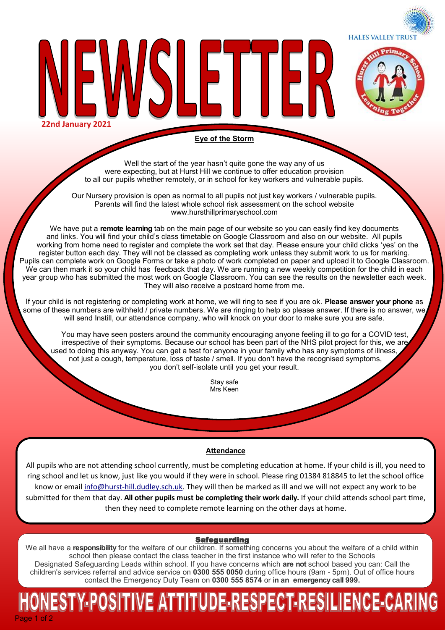**HALES VALLEY TRUST** 



**22nd January 2021**

# **Eye of the Storm**

╟┝║

Well the start of the year hasn't quite gone the way any of us were expecting, but at Hurst Hill we continue to offer education provision to all our pupils whether remotely, or in school for key workers and vulnerable pupils.

Our Nursery provision is open as normal to all pupils not just key workers / vulnerable pupils. Parents will find the latest whole school risk assessment on the school website www.hursthillprimaryschool.com

We have put a **remote learning** tab on the main page of our website so you can easily find key documents and links. You will find your child's class timetable on Google Classroom and also on our website. All pupils working from home need to register and complete the work set that day. Please ensure your child clicks 'yes' on the register button each day. They will not be classed as completing work unless they submit work to us for marking. Pupils can complete work on Google Forms or take a photo of work completed on paper and upload it to Google Classroom. We can then mark it so your child has feedback that day. We are running a new weekly competition for the child in each year group who has submitted the most work on Google Classroom. You can see the results on the newsletter each week. They will also receive a postcard home from me.

If your child is not registering or completing work at home, we will ring to see if you are ok. **Please answer your phone** as some of these numbers are withheld / private numbers. We are ringing to help so please answer. If there is no answer, we will send Instill, our attendance company, who will knock on your door to make sure you are safe.

You may have seen posters around the community encouraging anyone feeling ill to go for a COVID test, irrespective of their symptoms. Because our school has been part of the NHS pilot project for this, we are used to doing this anyway. You can get a test for anyone in your family who has any symptoms of illness, not just a cough, temperature, loss of taste / smell. If you don't have the recognised symptoms, you don't self-isolate until you get your result.

> Stay safe Mrs Keen

# **Attendance**

All pupils who are not attending school currently, must be completing education at home. If your child is ill, you need to ring school and let us know, just like you would if they were in school. Please ring 01384 818845 to let the school office know or email info@hurst-[hill.dudley.sch.uk.](mailto:info@hurst-hill.dudley.sch.uk) They will then be marked as ill and we will not expect any work to be submitted for them that day. **All other pupils must be completing their work daily.** If your child attends school part time, then they need to complete remote learning on the other days at home.

# Safeguarding

We all have a **responsibility** for the welfare of our children. If something concerns you about the welfare of a child within school then please contact the class teacher in the first instance who will refer to the Schools Designated Safeguarding Leads within school. If you have concerns which **are not** school based you can: Call the children's services referral and advice service on **0300 555 0050** during office hours (9am - 5pm). Out of office hours contact the Emergency Duty Team on **0300 555 8574** or **in an emergency call 999.** 

# Page 1 of 2